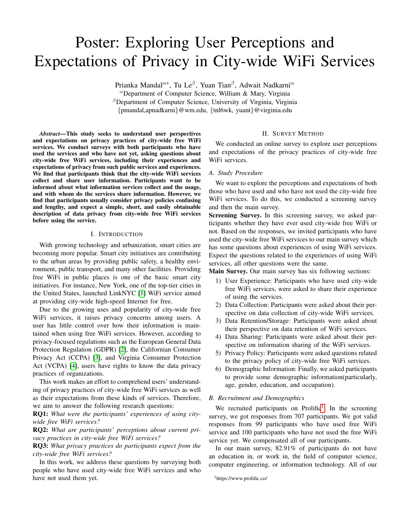# Poster: Exploring User Perceptions and Expectations of Privacy in City-wide WiFi Services

Prianka Mandal<sup> $\alpha$ </sup>\*, Tu Le<sup>β</sup>, Yuan Tian<sup>β</sup>, Adwait Nadkarni<sup>α</sup>

<sup>α</sup>Department of Computer Science, William & Mary, Virginia  $\beta$ Department of Computer Science, University of Virginia, Virginia {pmandal,apnadkarni}@wm.edu, {tnl6wk, yuant}@virginia.edu

*Abstract*—This study seeks to understand user perspectives and expectations on privacy practices of city-wide free WiFi services. We conduct surveys with both participants who have used the services and who have not yet, asking questions about city-wide free WiFi services, including their experiences and expectations of privacy from such public services and experiences. We find that participants think that the city-wide WiFi services collect and share user information. Participants want to be informed about what information services collect and the usage, and with whom do the services share information. However, we find that participants usually consider privacy policies confusing and lengthy, and expect a simple, short, and easily obtainable description of data privacy from city-wide free WiFi services before using the service.

#### I. INTRODUCTION

With growing technology and urbanization, smart cities are becoming more popular. Smart city initiatives are contributing to the urban areas by providing public safety, a healthy environment, public transport, and many other facilities. Providing free WiFi in public places is one of the basic smart city initiatives. For instance, New York, one of the top-tier cities in the United States, launched LinkNYC [\[1\]](#page-1-0) WiFi service aimed at providing city-wide high-speed Internet for free.

Due to the growing uses and popularity of city-wide free WiFi services, it raises privacy concerns among users. A user has little control over how their information is maintained when using free WiFi services. However, according to privacy-focused regulations such as the European General Data Protection Regulation (GDPR) [\[2\]](#page-1-1), the Californian Consumer Privacy Act (CCPA) [\[3\]](#page-1-2), and Virginia Consumer Protection Act (VCPA) [\[4\]](#page-1-3), users have rights to know the data privacy practices of organizations.

This work makes an effort to comprehend users' understanding of privacy practices of city-wide free WiFi services as well as their expectations from these kinds of services. Therefore, we aim to answer the following research questions:

RQ1: *What were the participants' experiences of using citywide free WiFi services?*

RQ2: *What are participants' perceptions about current privacy practices in city-wide free WiFi services?*

RQ3: *What privacy practices do participants expect from the city-wide free WiFi services?*

In this work, we address these questions by surveying both people who have used city-wide free WiFi services and who have not used them yet.

# II. SURVEY METHOD

We conducted an online survey to explore user perceptions and expectations of the privacy practices of city-wide free WiFi services.

#### *A. Study Procedure*

We want to explore the perceptions and expectations of both those who have used and who have not used the city-wide free WiFi services. To do this, we conducted a screening survey and then the main survey.

Screening Survey. In this screening survey, we asked participants whether they have ever used city-wide free WiFi or not. Based on the responses, we invited participants who have used the city-wide free WiFi services to our main survey which has some questions about experiences of using WiFi services. Expect the questions related to the experiences of using WiFi services, all other questions were the same.

Main Survey. Our main survey has six following sections:

- 1) User Experience: Participants who have used city-wide free WiFi services, were asked to share their experience of using the services.
- 2) Data Collection: Participants were asked about their perspective on data collection of city-wide WiFi services.
- 3) Data Retention/Storage: Participants were asked about their perspective on data retention of WiFi services.
- 4) Data Sharing: Participants were asked about their perspective on information sharing of the WiFi services.
- 5) Privacy Policy: Participants were asked questions related to the privacy policy of city-wide free WiFi services.
- 6) Demographic Information: Finally, we asked participants to provide some demographic information(particularly, age, gender, education, and occupation).

# *B. Recruitment and Demographics*

We recruited participants on Prolific<sup>[1](#page-0-0)</sup>. In the screening survey, we got responses from 707 participants. We got valid responses from 99 participants who have used free WiFi service and 100 participants who have not used the free WiFi service yet. We compensated all of our participants.

In our main survey, 82.91% of participants do not have an education in, or work in, the field of computer science, computer engineering, or information technology. All of our

<span id="page-0-0"></span><sup>1</sup>https://www.prolific.co/